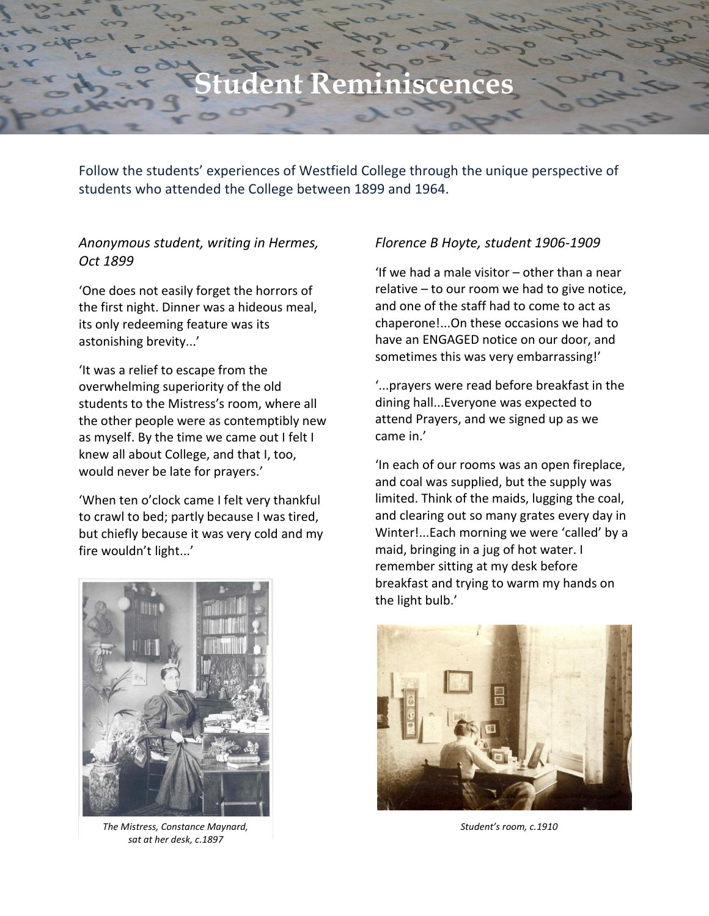# **Student Reminiscences**

Follow the students' experiences of Westfield College through the unique perspective of students who attended the College between 1899 and 1964.

# *Anonymous student, writing in Hermes, Oct 1899*

'One does not easily forget the horrors of the first night. Dinner was a hideous meal, its only redeeming feature was its astonishing brevity...'

'It was a relief to escape from the overwhelming superiority of the old students to the Mistress's room, where all the other people were as contemptibly new as myself. By the time we came out I felt I knew all about College, and that I, too, would never be late for prayers.'

'When ten o'clock came I felt very thankful to crawl to bed; partly because I was tired, but chiefly because it was very cold and my fire wouldn't light...'



*The Mistress, Constance Maynard, Student's room, c.1910 sat at her desk, c.1897*

## *Florence B Hoyte, student 1906-1909*

'If we had a male visitor – other than a near relative – to our room we had to give notice, and one of the staff had to come to act as chaperone!...On these occasions we had to have an ENGAGED notice on our door, and sometimes this was very embarrassing!'

'...prayers were read before breakfast in the dining hall...Everyone was expected to attend Prayers, and we signed up as we came in.'

'In each of our rooms was an open fireplace, and coal was supplied, but the supply was limited. Think of the maids, lugging the coal, and clearing out so many grates every day in Winter!...Each morning we were 'called' by a maid, bringing in a jug of hot water. I remember sitting at my desk before breakfast and trying to warm my hands on the light bulb.'

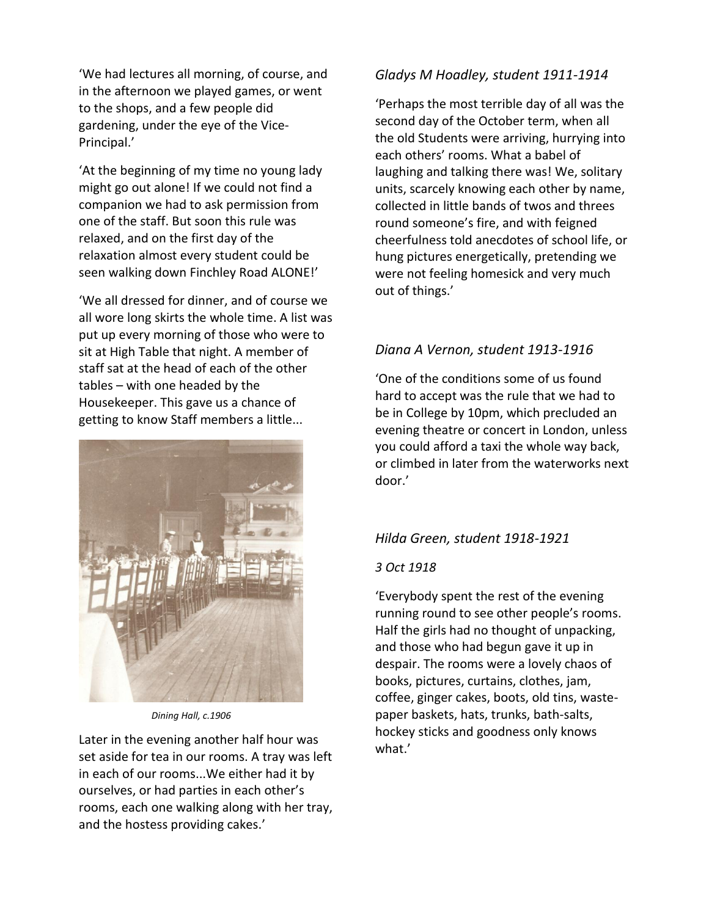'We had lectures all morning, of course, and in the afternoon we played games, or went to the shops, and a few people did gardening, under the eye of the Vice-Principal.'

'At the beginning of my time no young lady might go out alone! If we could not find a companion we had to ask permission from one of the staff. But soon this rule was relaxed, and on the first day of the relaxation almost every student could be seen walking down Finchley Road ALONE!'

'We all dressed for dinner, and of course we all wore long skirts the whole time. A list was put up every morning of those who were to sit at High Table that night. A member of staff sat at the head of each of the other tables – with one headed by the Housekeeper. This gave us a chance of getting to know Staff members a little...



*Dining Hall, c.1906*

Later in the evening another half hour was set aside for tea in our rooms. A tray was left in each of our rooms...We either had it by ourselves, or had parties in each other's rooms, each one walking along with her tray, and the hostess providing cakes.'

## *Gladys M Hoadley, student 1911-1914*

'Perhaps the most terrible day of all was the second day of the October term, when all the old Students were arriving, hurrying into each others' rooms. What a babel of laughing and talking there was! We, solitary units, scarcely knowing each other by name, collected in little bands of twos and threes round someone's fire, and with feigned cheerfulness told anecdotes of school life, or hung pictures energetically, pretending we were not feeling homesick and very much out of things.'

# *Diana A Vernon, student 1913-1916*

'One of the conditions some of us found hard to accept was the rule that we had to be in College by 10pm, which precluded an evening theatre or concert in London, unless you could afford a taxi the whole way back, or climbed in later from the waterworks next door.'

## *Hilda Green, student 1918-1921*

#### *3 Oct 1918*

'Everybody spent the rest of the evening running round to see other people's rooms. Half the girls had no thought of unpacking, and those who had begun gave it up in despair. The rooms were a lovely chaos of books, pictures, curtains, clothes, jam, coffee, ginger cakes, boots, old tins, wastepaper baskets, hats, trunks, bath-salts, hockey sticks and goodness only knows what.'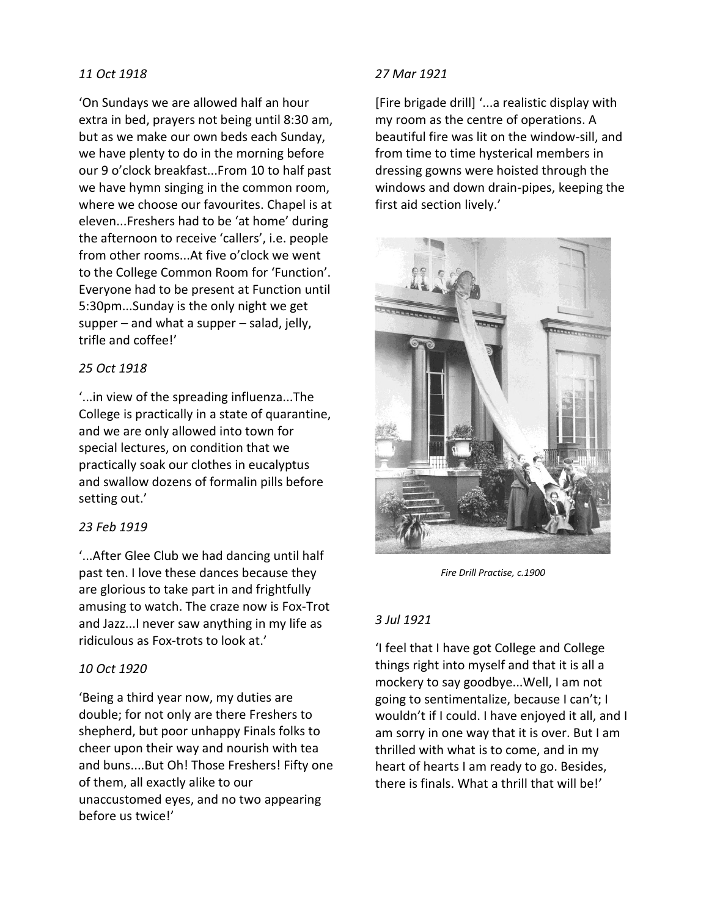## *11 Oct 1918*

'On Sundays we are allowed half an hour extra in bed, prayers not being until 8:30 am, but as we make our own beds each Sunday, we have plenty to do in the morning before our 9 o'clock breakfast...From 10 to half past we have hymn singing in the common room, where we choose our favourites. Chapel is at eleven...Freshers had to be 'at home' during the afternoon to receive 'callers', i.e. people from other rooms...At five o'clock we went to the College Common Room for 'Function'. Everyone had to be present at Function until 5:30pm...Sunday is the only night we get supper – and what a supper – salad, jelly, trifle and coffee!'

# *25 Oct 1918*

'...in view of the spreading influenza...The College is practically in a state of quarantine, and we are only allowed into town for special lectures, on condition that we practically soak our clothes in eucalyptus and swallow dozens of formalin pills before setting out.'

## *23 Feb 1919*

'...After Glee Club we had dancing until half past ten. I love these dances because they are glorious to take part in and frightfully amusing to watch. The craze now is Fox-Trot and Jazz...I never saw anything in my life as ridiculous as Fox-trots to look at.'

#### *10 Oct 1920*

'Being a third year now, my duties are double; for not only are there Freshers to shepherd, but poor unhappy Finals folks to cheer upon their way and nourish with tea and buns....But Oh! Those Freshers! Fifty one of them, all exactly alike to our unaccustomed eyes, and no two appearing before us twice!'

#### *27 Mar 1921*

[Fire brigade drill] '...a realistic display with my room as the centre of operations. A beautiful fire was lit on the window-sill, and from time to time hysterical members in dressing gowns were hoisted through the windows and down drain-pipes, keeping the first aid section lively.'



*Fire Drill Practise, c.1900*

## *3 Jul 1921*

'I feel that I have got College and College things right into myself and that it is all a mockery to say goodbye...Well, I am not going to sentimentalize, because I can't; I wouldn't if I could. I have enjoyed it all, and I am sorry in one way that it is over. But I am thrilled with what is to come, and in my heart of hearts I am ready to go. Besides, there is finals. What a thrill that will be!'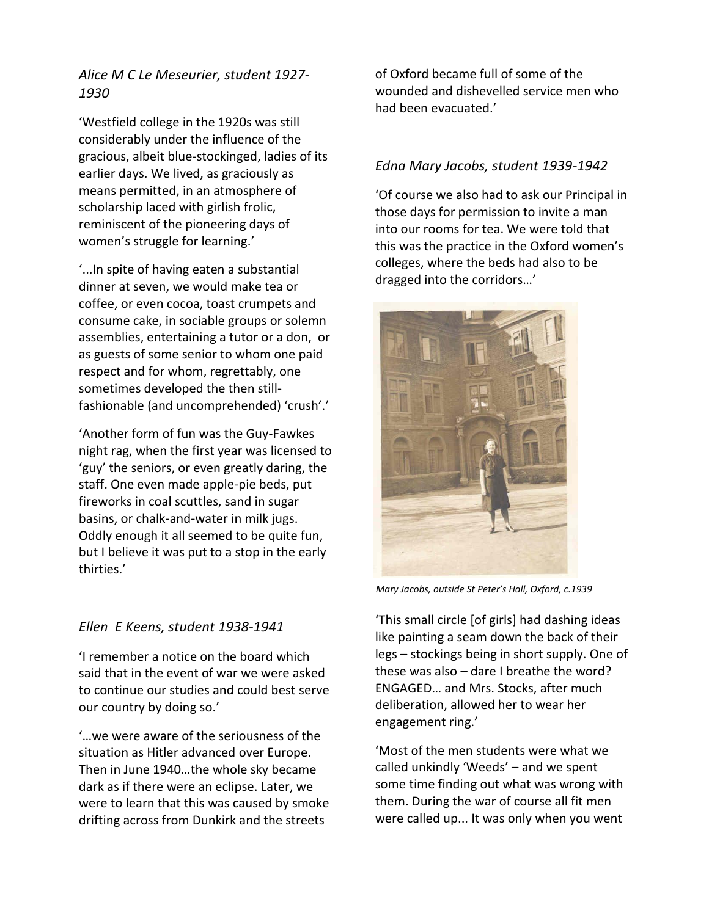*Alice M C Le Meseurier, student 1927- 1930* 

'Westfield college in the 1920s was still considerably under the influence of the gracious, albeit blue-stockinged, ladies of its earlier days. We lived, as graciously as means permitted, in an atmosphere of scholarship laced with girlish frolic, reminiscent of the pioneering days of women's struggle for learning.'

'...In spite of having eaten a substantial dinner at seven, we would make tea or coffee, or even cocoa, toast crumpets and consume cake, in sociable groups or solemn assemblies, entertaining a tutor or a don, or as guests of some senior to whom one paid respect and for whom, regrettably, one sometimes developed the then stillfashionable (and uncomprehended) 'crush'.'

'Another form of fun was the Guy-Fawkes night rag, when the first year was licensed to 'guy' the seniors, or even greatly daring, the staff. One even made apple-pie beds, put fireworks in coal scuttles, sand in sugar basins, or chalk-and-water in milk jugs. Oddly enough it all seemed to be quite fun, but I believe it was put to a stop in the early thirties.'

## *Ellen E Keens, student 1938-1941*

'I remember a notice on the board which said that in the event of war we were asked to continue our studies and could best serve our country by doing so.'

'…we were aware of the seriousness of the situation as Hitler advanced over Europe. Then in June 1940…the whole sky became dark as if there were an eclipse. Later, we were to learn that this was caused by smoke drifting across from Dunkirk and the streets

of Oxford became full of some of the wounded and dishevelled service men who had been evacuated.'

# *Edna Mary Jacobs, student 1939-1942*

'Of course we also had to ask our Principal in those days for permission to invite a man into our rooms for tea. We were told that this was the practice in the Oxford women's colleges, where the beds had also to be dragged into the corridors…'



*Mary Jacobs, outside St Peter's Hall, Oxford, c.1939*

'This small circle [of girls] had dashing ideas like painting a seam down the back of their legs – stockings being in short supply. One of these was also – dare I breathe the word? ENGAGED… and Mrs. Stocks, after much deliberation, allowed her to wear her engagement ring.'

'Most of the men students were what we called unkindly 'Weeds' – and we spent some time finding out what was wrong with them. During the war of course all fit men were called up... It was only when you went